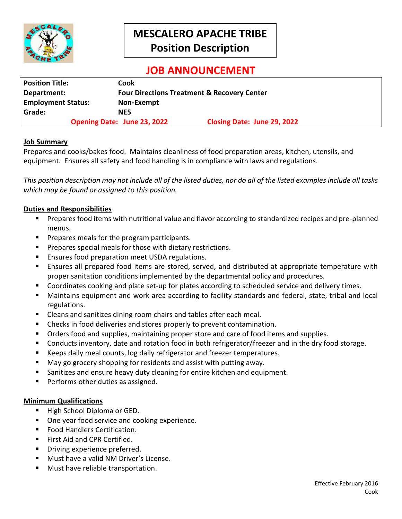

# **MESCALERO APACHE TRIBE Position Description**

## **JOB ANNOUNCEMENT**

| <b>Position Title:</b>    | Cook                                                   |                             |  |
|---------------------------|--------------------------------------------------------|-----------------------------|--|
| Department:               | <b>Four Directions Treatment &amp; Recovery Center</b> |                             |  |
| <b>Employment Status:</b> | Non-Exempt                                             |                             |  |
| Grade:                    | NE5                                                    |                             |  |
|                           | <b>Opening Date: June 23, 2022</b>                     | Closing Date: June 29, 2022 |  |

#### **Job Summary**

Prepares and cooks/bakes food. Maintains cleanliness of food preparation areas, kitchen, utensils, and equipment. Ensures all safety and food handling is in compliance with laws and regulations.

*This position description may not include all of the listed duties, nor do all of the listed examples include all tasks which may be found or assigned to this position.*

#### **Duties and Responsibilities**

- **Prepares food items with nutritional value and flavor according to standardized recipes and pre-planned** menus.
- **Prepares meals for the program participants.**
- **Prepares special meals for those with dietary restrictions.**
- **E** Ensures food preparation meet USDA regulations.
- Ensures all prepared food items are stored, served, and distributed at appropriate temperature with proper sanitation conditions implemented by the departmental policy and procedures.
- Coordinates cooking and plate set-up for plates according to scheduled service and delivery times.
- Maintains equipment and work area according to facility standards and federal, state, tribal and local regulations.
- Cleans and sanitizes dining room chairs and tables after each meal.
- **E** Checks in food deliveries and stores properly to prevent contamination.
- Orders food and supplies, maintaining proper store and care of food items and supplies.
- Conducts inventory, date and rotation food in both refrigerator/freezer and in the dry food storage.
- Keeps daily meal counts, log daily refrigerator and freezer temperatures.
- May go grocery shopping for residents and assist with putting away.
- Sanitizes and ensure heavy duty cleaning for entire kitchen and equipment.
- Performs other duties as assigned.

#### **Minimum Qualifications**

- High School Diploma or GED.
- One year food service and cooking experience.
- **Food Handlers Certification.**
- First Aid and CPR Certified.
- **Driving experience preferred.**
- Must have a valid NM Driver's License.
- Must have reliable transportation.